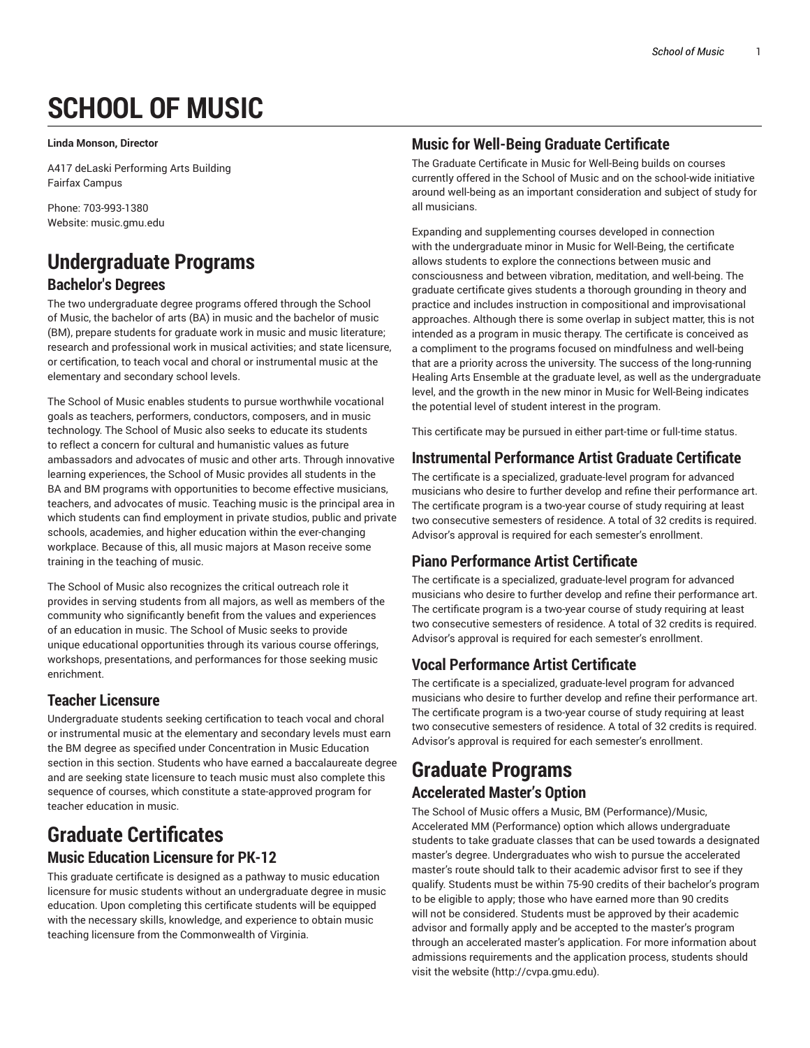# **SCHOOL OF MUSIC**

**Linda Monson, Director**

A417 deLaski Performing Arts Building Fairfax Campus

Phone: 703-993-1380 Website: music.gmu.edu

# **Undergraduate Programs Bachelor's Degrees**

The two undergraduate degree programs offered through the School of Music, the bachelor of arts (BA) in music and the bachelor of music (BM), prepare students for graduate work in music and music literature; research and professional work in musical activities; and state licensure, or certification, to teach vocal and choral or instrumental music at the elementary and secondary school levels.

The School of Music enables students to pursue worthwhile vocational goals as teachers, performers, conductors, composers, and in music technology. The School of Music also seeks to educate its students to reflect a concern for cultural and humanistic values as future ambassadors and advocates of music and other arts. Through innovative learning experiences, the School of Music provides all students in the BA and BM programs with opportunities to become effective musicians, teachers, and advocates of music. Teaching music is the principal area in which students can find employment in private studios, public and private schools, academies, and higher education within the ever-changing workplace. Because of this, all music majors at Mason receive some training in the teaching of music.

The School of Music also recognizes the critical outreach role it provides in serving students from all majors, as well as members of the community who significantly benefit from the values and experiences of an education in music. The School of Music seeks to provide unique educational opportunities through its various course offerings, workshops, presentations, and performances for those seeking music enrichment.

#### **Teacher Licensure**

Undergraduate students seeking certification to teach vocal and choral or instrumental music at the elementary and secondary levels must earn the BM degree as specified under Concentration in Music Education section in this section. Students who have earned a baccalaureate degree and are seeking state licensure to teach music must also complete this sequence of courses, which constitute a state-approved program for teacher education in music.

## **Graduate Certificates Music Education Licensure for PK-12**

This graduate certificate is designed as a pathway to music education licensure for music students without an undergraduate degree in music education. Upon completing this certificate students will be equipped with the necessary skills, knowledge, and experience to obtain music teaching licensure from the Commonwealth of Virginia.

### **Music for Well-Being Graduate Certificate**

The Graduate Certificate in Music for Well-Being builds on courses currently offered in the School of Music and on the school-wide initiative around well-being as an important consideration and subject of study for all musicians.

Expanding and supplementing courses developed in connection with the undergraduate minor in Music for Well-Being, the certificate allows students to explore the connections between music and consciousness and between vibration, meditation, and well-being. The graduate certificate gives students a thorough grounding in theory and practice and includes instruction in compositional and improvisational approaches. Although there is some overlap in subject matter, this is not intended as a program in music therapy. The certificate is conceived as a compliment to the programs focused on mindfulness and well-being that are a priority across the university. The success of the long-running Healing Arts Ensemble at the graduate level, as well as the undergraduate level, and the growth in the new minor in Music for Well-Being indicates the potential level of student interest in the program.

This certificate may be pursued in either part-time or full-time status.

#### **Instrumental Performance Artist Graduate Certificate**

The certificate is a specialized, graduate-level program for advanced musicians who desire to further develop and refine their performance art. The certificate program is a two-year course of study requiring at least two consecutive semesters of residence. A total of 32 credits is required. Advisor's approval is required for each semester's enrollment.

#### **Piano Performance Artist Certificate**

The certificate is a specialized, graduate-level program for advanced musicians who desire to further develop and refine their performance art. The certificate program is a two-year course of study requiring at least two consecutive semesters of residence. A total of 32 credits is required. Advisor's approval is required for each semester's enrollment.

### **Vocal Performance Artist Certificate**

The certificate is a specialized, graduate-level program for advanced musicians who desire to further develop and refine their performance art. The certificate program is a two-year course of study requiring at least two consecutive semesters of residence. A total of 32 credits is required. Advisor's approval is required for each semester's enrollment.

# **Graduate Programs Accelerated Master's Option**

The School of Music offers a Music, BM (Performance)/Music, Accelerated MM (Performance) option which allows undergraduate students to take graduate classes that can be used towards a designated master's degree. Undergraduates who wish to pursue the accelerated master's route should talk to their academic advisor first to see if they qualify. Students must be within 75-90 credits of their bachelor's program to be eligible to apply; those who have earned more than 90 credits will not be considered. Students must be approved by their academic advisor and formally apply and be accepted to the master's program through an accelerated master's application. For more information about admissions requirements and the application process, students should visit the website (http://cvpa.gmu.edu).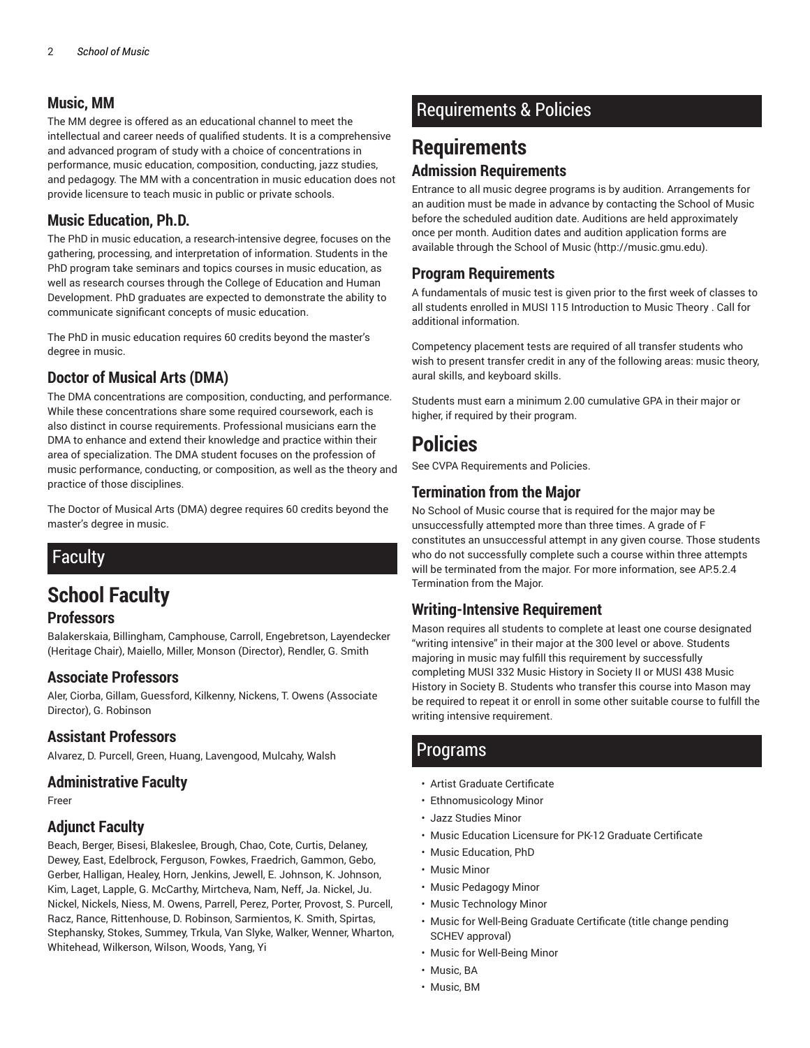#### **Music, MM**

The MM degree is offered as an educational channel to meet the intellectual and career needs of qualified students. It is a comprehensive and advanced program of study with a choice of concentrations in performance, music education, composition, conducting, jazz studies, and pedagogy. The MM with a concentration in music education does not provide licensure to teach music in public or private schools.

#### **Music Education, Ph.D.**

The PhD in music education, a research-intensive degree, focuses on the gathering, processing, and interpretation of information. Students in the PhD program take seminars and topics courses in music education, as well as research courses through the College of Education and Human Development. PhD graduates are expected to demonstrate the ability to communicate significant concepts of music education.

The PhD in music education requires 60 credits beyond the master's degree in music.

### **Doctor of Musical Arts (DMA)**

The DMA concentrations are composition, conducting, and performance. While these concentrations share some required coursework, each is also distinct in course requirements. Professional musicians earn the DMA to enhance and extend their knowledge and practice within their area of specialization. The DMA student focuses on the profession of music performance, conducting, or composition, as well as the theory and practice of those disciplines.

The Doctor of Musical Arts (DMA) degree requires 60 credits beyond the master's degree in music.

# Faculty

# **School Faculty**

#### **Professors**

Balakerskaia, Billingham, Camphouse, Carroll, Engebretson, Layendecker (Heritage Chair), Maiello, Miller, Monson (Director), Rendler, G. Smith

#### **Associate Professors**

Aler, Ciorba, Gillam, Guessford, Kilkenny, Nickens, T. Owens (Associate Director), G. Robinson

#### **Assistant Professors**

Alvarez, D. Purcell, Green, Huang, Lavengood, Mulcahy, Walsh

#### **Administrative Faculty**

Freer

#### **Adjunct Faculty**

Beach, Berger, Bisesi, Blakeslee, Brough, Chao, Cote, Curtis, Delaney, Dewey, East, Edelbrock, Ferguson, Fowkes, Fraedrich, Gammon, Gebo, Gerber, Halligan, Healey, Horn, Jenkins, Jewell, E. Johnson, K. Johnson, Kim, Laget, Lapple, G. McCarthy, Mirtcheva, Nam, Neff, Ja. Nickel, Ju. Nickel, Nickels, Niess, M. Owens, Parrell, Perez, Porter, Provost, S. Purcell, Racz, Rance, Rittenhouse, D. Robinson, Sarmientos, K. Smith, Spirtas, Stephansky, Stokes, Summey, Trkula, Van Slyke, Walker, Wenner, Wharton, Whitehead, Wilkerson, Wilson, Woods, Yang, Yi

# Requirements & Policies

### **Requirements Admission Requirements**

Entrance to all music degree programs is by audition. Arrangements for an audition must be made in advance by contacting the School of Music before the scheduled audition date. Auditions are held approximately once per month. Audition dates and audition application forms are available through the School of Music (http://music.gmu.edu).

#### **Program Requirements**

A fundamentals of music test is given prior to the first week of classes to all students enrolled in MUSI 115 Introduction to Music Theory . Call for additional information.

Competency placement tests are required of all transfer students who wish to present transfer credit in any of the following areas: music theory, aural skills, and keyboard skills.

Students must earn a minimum 2.00 cumulative GPA in their major or higher, if required by their program.

# **Policies**

See CVPA Requirements and Policies.

#### **Termination from the Major**

No School of Music course that is required for the major may be unsuccessfully attempted more than three times. A grade of F constitutes an unsuccessful attempt in any given course. Those students who do not successfully complete such a course within three attempts will be terminated from the major. For more information, see AP.5.2.4 Termination from the Major.

#### **Writing-Intensive Requirement**

Mason requires all students to complete at least one course designated "writing intensive" in their major at the 300 level or above. Students majoring in music may fulfill this requirement by successfully completing MUSI 332 Music History in Society II or MUSI 438 Music History in Society B. Students who transfer this course into Mason may be required to repeat it or enroll in some other suitable course to fulfill the writing intensive requirement.

### **Programs**

- Artist Graduate Certificate
- Ethnomusicology Minor
- Jazz Studies Minor
- Music Education Licensure for PK-12 Graduate Certificate
- Music Education, PhD
- Music Minor
- Music Pedagogy Minor
- Music Technology Minor
- Music for Well-Being Graduate Certificate (title change pending SCHEV approval)
- Music for Well-Being Minor
- Music, BA
- Music, BM